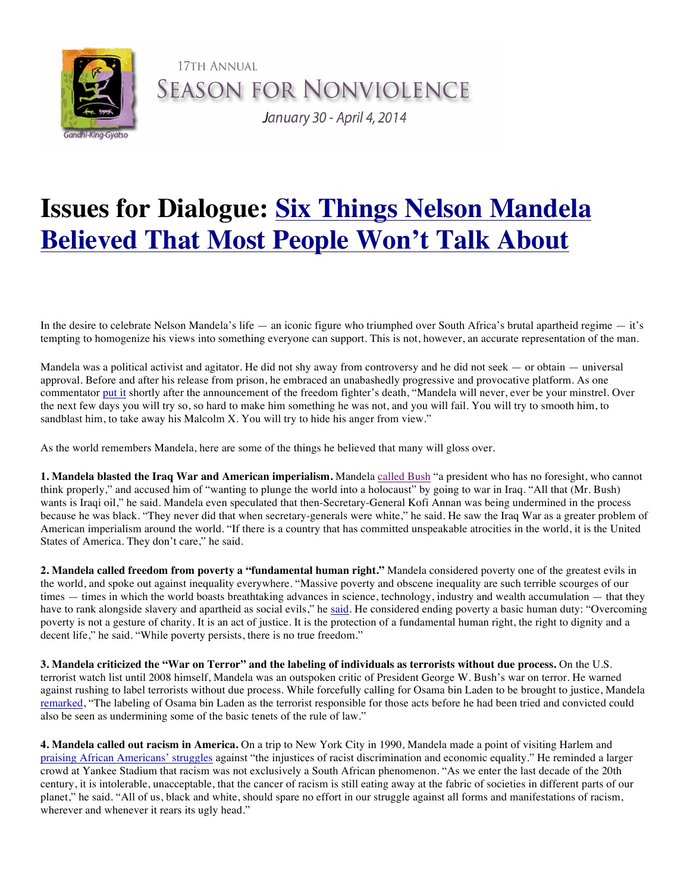

17TH ANNUAL **SEASON FOR NONVIOLENCE** 

January 30 - April 4, 2014

## **Issues for Dialogue: Six Things Nelson Mandela Believed That Most People Won't Talk About**

In the desire to celebrate Nelson Mandela's life — an iconic figure who triumphed over South Africa's brutal apartheid regime — it's tempting to homogenize his views into something everyone can support. This is not, however, an accurate representation of the man.

Mandela was a political activist and agitator. He did not shy away from controversy and he did not seek  $-$  or obtain  $-$  universal approval. Before and after his release from prison, he embraced an unabashedly progressive and provocative platform. As one commentator put it shortly after the announcement of the freedom fighter's death, "Mandela will never, ever be your minstrel. Over the next few days you will try so, so hard to make him something he was not, and you will fail. You will try to smooth him, to sandblast him, to take away his Malcolm X. You will try to hide his anger from view."

As the world remembers Mandela, here are some of the things he believed that many will gloss over.

**1. Mandela blasted the Iraq War and American imperialism.** Mandela called Bush "a president who has no foresight, who cannot think properly," and accused him of "wanting to plunge the world into a holocaust" by going to war in Iraq. "All that (Mr. Bush) wants is Iraqi oil," he said. Mandela even speculated that then-Secretary-General Kofi Annan was being undermined in the process because he was black. "They never did that when secretary-generals were white," he said. He saw the Iraq War as a greater problem of American imperialism around the world. "If there is a country that has committed unspeakable atrocities in the world, it is the United States of America. They don't care," he said.

**2. Mandela called freedom from poverty a "fundamental human right."** Mandela considered poverty one of the greatest evils in the world, and spoke out against inequality everywhere. "Massive poverty and obscene inequality are such terrible scourges of our times — times in which the world boasts breathtaking advances in science, technology, industry and wealth accumulation — that they have to rank alongside slavery and apartheid as social evils," he said. He considered ending poverty a basic human duty: "Overcoming poverty is not a gesture of charity. It is an act of justice. It is the protection of a fundamental human right, the right to dignity and a decent life," he said. "While poverty persists, there is no true freedom."

**3. Mandela criticized the "War on Terror" and the labeling of individuals as terrorists without due process.** On the U.S. terrorist watch list until 2008 himself, Mandela was an outspoken critic of President George W. Bush's war on terror. He warned against rushing to label terrorists without due process. While forcefully calling for Osama bin Laden to be brought to justice, Mandela remarked, "The labeling of Osama bin Laden as the terrorist responsible for those acts before he had been tried and convicted could also be seen as undermining some of the basic tenets of the rule of law."

**4. Mandela called out racism in America.** On a trip to New York City in 1990, Mandela made a point of visiting Harlem and praising African Americans' struggles against "the injustices of racist discrimination and economic equality." He reminded a larger crowd at Yankee Stadium that racism was not exclusively a South African phenomenon. "As we enter the last decade of the 20th century, it is intolerable, unacceptable, that the cancer of racism is still eating away at the fabric of societies in different parts of our planet," he said. "All of us, black and white, should spare no effort in our struggle against all forms and manifestations of racism, wherever and whenever it rears its ugly head."